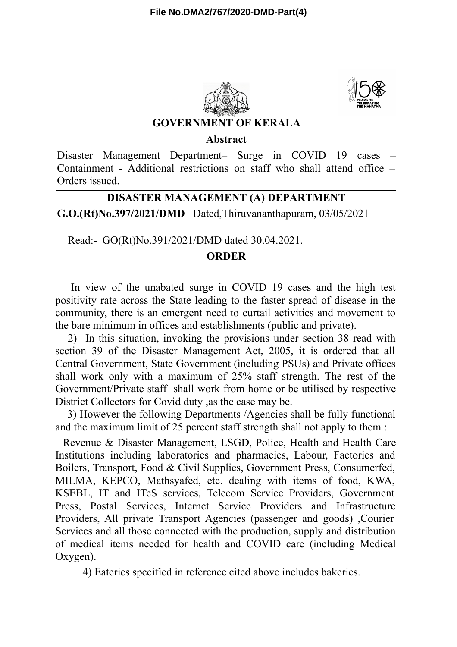



### **GOVERNMENT OF KERALA**

#### **Abstract**

Disaster Management Department– Surge in COVID 19 cases – Containment - Additional restrictions on staff who shall attend office – Orders issued.

# **G.O.(Rt)No.397/2021/DMD** Dated,Thiruvananthapuram, 03/05/2021 **DISASTER MANAGEMENT (A) DEPARTMENT**

Read:- GO(Rt)No.391/2021/DMD dated 30.04.2021.

### **ORDER**

In view of the unabated surge in COVID 19 cases and the high test positivity rate across the State leading to the faster spread of disease in the community, there is an emergent need to curtail activities and movement to the bare minimum in offices and establishments (public and private).

2) In this situation, invoking the provisions under section 38 read with section 39 of the Disaster Management Act, 2005, it is ordered that all Central Government, State Government (including PSUs) and Private offices shall work only with a maximum of 25% staff strength. The rest of the Government/Private staff shall work from home or be utilised by respective District Collectors for Covid duty ,as the case may be.

3) However the following Departments /Agencies shall be fully functional and the maximum limit of 25 percent staff strength shall not apply to them :

Revenue & Disaster Management, LSGD, Police, Health and Health Care Institutions including laboratories and pharmacies, Labour, Factories and Boilers, Transport, Food & Civil Supplies, Government Press, Consumerfed, MILMA, KEPCO, Mathsyafed, etc. dealing with items of food, KWA, KSEBL, IT and ITeS services, Telecom Service Providers, Government Press, Postal Services, Internet Service Providers and Infrastructure Providers, All private Transport Agencies (passenger and goods) ,Courier Services and all those connected with the production, supply and distribution of medical items needed for health and COVID care (including Medical Oxygen).

4) Eateries specified in reference cited above includes bakeries.